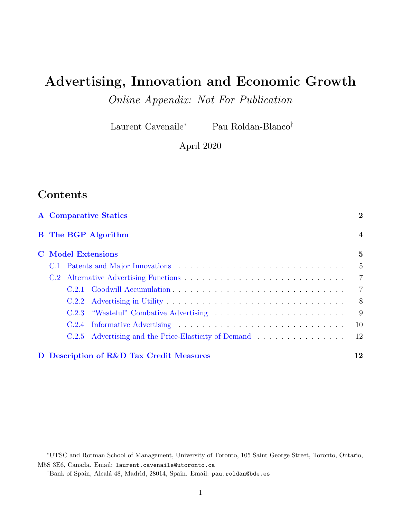# <span id="page-0-0"></span>Advertising, Innovation and Economic Growth

Online Appendix: Not For Publication

Laurent Cavenaile<sup>∗</sup> Pau Roldan-Blanco†

April 2020

# Contents

| <b>A</b> Comparative Statics |       |                                          |                         |
|------------------------------|-------|------------------------------------------|-------------------------|
|                              |       | <b>B</b> The BGP Algorithm               | $\overline{\mathbf{4}}$ |
| <b>C</b> Model Extensions    |       |                                          | $\overline{5}$          |
|                              |       |                                          | -5                      |
|                              |       |                                          | $\overline{7}$          |
|                              |       |                                          | $\overline{7}$          |
|                              | C.2.2 |                                          | - 8                     |
|                              | C.2.3 |                                          | - 9                     |
|                              |       |                                          | -10                     |
|                              |       |                                          | <sup>12</sup>           |
|                              |       | D Description of R&D Tax Credit Measures | 12                      |

<sup>∗</sup>UTSC and Rotman School of Management, University of Toronto, 105 Saint George Street, Toronto, Ontario, M5S 3E6, Canada. Email: laurent.cavenaile@utoronto.ca

<sup>†</sup>Bank of Spain, Alcal´a 48, Madrid, 28014, Spain. Email: pau.roldan@bde.es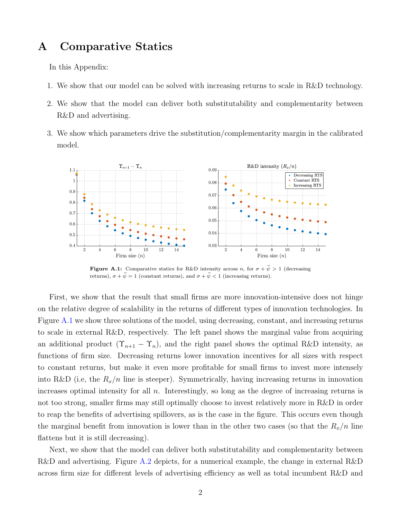## <span id="page-1-0"></span>A Comparative Statics

In this Appendix:

- 1. We show that our model can be solved with increasing returns to scale in R&D technology.
- 2. We show that the model can deliver both substitutability and complementarity between R&D and advertising.
- 3. We show which parameters drive the substitution/complementarity margin in the calibrated model.

<span id="page-1-1"></span>

**Figure A.1:** Comparative statics for R&D intensity across n, for  $\sigma + \tilde{\psi} > 1$  (decreasing returns),  $\sigma + \tilde{\psi} = 1$  (constant returns), and  $\sigma + \tilde{\psi} < 1$  (increasing returns)

First, we show that the result that small firms are more innovation-intensive does not hinge on the relative degree of scalability in the returns of different types of innovation technologies. In Figure [A.1](#page-1-1) we show three solutions of the model, using decreasing, constant, and increasing returns to scale in external R&D, respectively. The left panel shows the marginal value from acquiring an additional product  $(\Upsilon_{n+1} - \Upsilon_n)$ , and the right panel shows the optimal R&D intensity, as functions of firm size. Decreasing returns lower innovation incentives for all sizes with respect to constant returns, but make it even more profitable for small firms to invest more intensely into R&D (i.e, the  $R_x/n$  line is steeper). Symmetrically, having increasing returns in innovation increases optimal intensity for all  $n$ . Interestingly, so long as the degree of increasing returns is not too strong, smaller firms may still optimally choose to invest relatively more in R&D in order to reap the benefits of advertising spillovers, as is the case in the figure. This occurs even though the marginal benefit from innovation is lower than in the other two cases (so that the  $R_x/n$  line flattens but it is still decreasing).

Next, we show that the model can deliver both substitutability and complementarity between R&D and advertising. Figure [A.2](#page-2-0) depicts, for a numerical example, the change in external R&D across firm size for different levels of advertising efficiency as well as total incumbent R&D and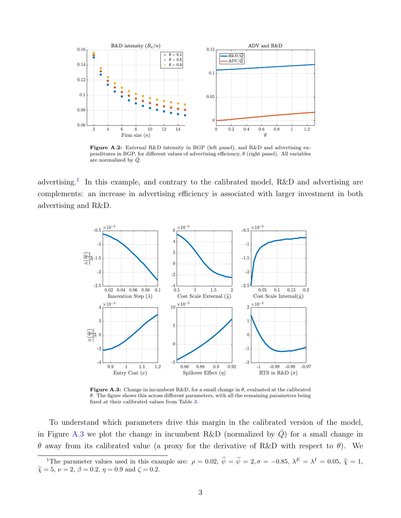<span id="page-2-0"></span>

Figure A.2: External R&D intensity in BGP (left panel), and R&D and advertising expenditures in BGP, for different values of advertising efficiency,  $\theta$  (right panel). All variables are normalized by  $\overline{Q}$ .

<span id="page-2-1"></span>advertising.<sup>[1](#page-0-0)</sup> In this example, and contrary to the calibrated model, R&D and advertising are complements: an increase in advertising efficiency is associated with larger investment in both advertising and R&D.



**Figure A.3:** Change in incumbent R&D, for a small change in  $\theta$ , evaluated at the calibrated  $\theta$ . The figure shows this across different parameters, with all the remaining parameters being fixed at their calibrated values from Table [3.](#page-0-0)

To understand which parameters drive this margin in the calibrated version of the model, in Figure [A.3](#page-2-1) we plot the change in incumbent R&D (normalized by  $\overline{Q}$ ) for a small change in θ away from its calibrated value (a proxy for the derivative of R&D with respect to θ). We

<sup>&</sup>lt;sup>1</sup>The parameter values used in this example are:  $\rho = 0.02$ ,  $\hat{\psi} = \hat{\psi} = 2$ ,  $\sigma = -0.85$ ,  $\lambda^E = \lambda^I = 0.05$ ,  $\hat{\chi} = 1$ ,  $\tilde{\chi} = 5, \nu = 2, \beta = 0.2, \eta = 0.9 \text{ and } \zeta = 0.2.$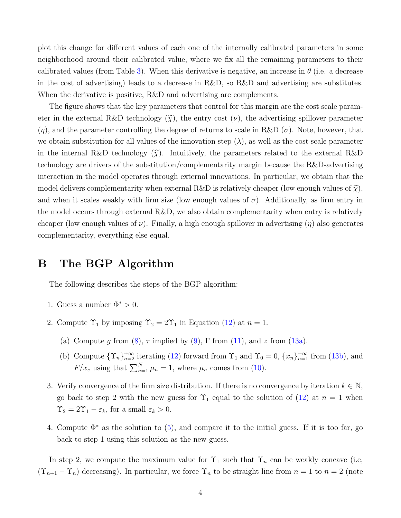plot this change for different values of each one of the internally calibrated parameters in some neighborhood around their calibrated value, where we fix all the remaining parameters to their calibrated values (from Table [3\)](#page-0-0). When this derivative is negative, an increase in  $\theta$  (i.e. a decrease in the cost of advertising) leads to a decrease in R&D, so R&D and advertising are substitutes. When the derivative is positive, R&D and advertising are complements.

The figure shows that the key parameters that control for this margin are the cost scale parameter in the external R&D technology  $(\tilde{\chi})$ , the entry cost  $(\nu)$ , the advertising spillover parameter  $(\eta)$ , and the parameter controlling the degree of returns to scale in R&D  $(\sigma)$ . Note, however, that we obtain substitution for all values of the innovation step  $(\lambda)$ , as well as the cost scale parameter in the internal R&D technology  $(\widehat{\chi})$ . Intuitively, the parameters related to the external R&D technology are drivers of the substitution/complementarity margin because the R&D-advertising interaction in the model operates through external innovations. In particular, we obtain that the model delivers complementarity when external R&D is relatively cheaper (low enough values of  $\tilde{\chi}$ ), and when it scales weakly with firm size (low enough values of  $\sigma$ ). Additionally, as firm entry in the model occurs through external R&D, we also obtain complementarity when entry is relatively cheaper (low enough values of  $\nu$ ). Finally, a high enough spillover in advertising (η) also generates complementarity, everything else equal.

### <span id="page-3-0"></span>B The BGP Algorithm

The following describes the steps of the BGP algorithm:

- 1. Guess a number  $\Phi^* > 0$ .
- 2. Compute  $\Upsilon_1$  by imposing  $\Upsilon_2 = 2\Upsilon_1$  in Equation [\(12\)](#page-0-0) at  $n = 1$ .
	- (a) Compute g from [\(8\)](#page-0-0),  $\tau$  implied by [\(9\)](#page-0-0),  $\Gamma$  from [\(11\)](#page-0-0), and z from [\(13a\)](#page-0-0).
	- (b) Compute  $\{\Upsilon_n\}_{n=2}^{+\infty}$  iterating [\(12\)](#page-0-0) forward from  $\Upsilon_1$  and  $\Upsilon_0 = 0$ ,  $\{x_n\}_{n=1}^{+\infty}$  from [\(13b\)](#page-0-0), and  $F/x_e$  using that  $\sum_{n=1}^{N} \mu_n = 1$ , where  $\mu_n$  comes from [\(10\)](#page-0-0).
- 3. Verify convergence of the firm size distribution. If there is no convergence by iteration  $k \in \mathbb{N}$ , go back to step 2 with the new guess for  $\Upsilon_1$  equal to the solution of  $(12)$  at  $n = 1$  when  $\Upsilon_2 = 2\Upsilon_1 - \varepsilon_k$ , for a small  $\varepsilon_k > 0$ .
- 4. Compute  $\Phi^*$  as the solution to [\(5\)](#page-0-0), and compare it to the initial guess. If it is too far, go back to step 1 using this solution as the new guess.

In step 2, we compute the maximum value for  $\Upsilon_1$  such that  $\Upsilon_n$  can be weakly concave (i.e,  $(\Upsilon_{n+1} - \Upsilon_n)$  decreasing). In particular, we force  $\Upsilon_n$  to be straight line from  $n = 1$  to  $n = 2$  (note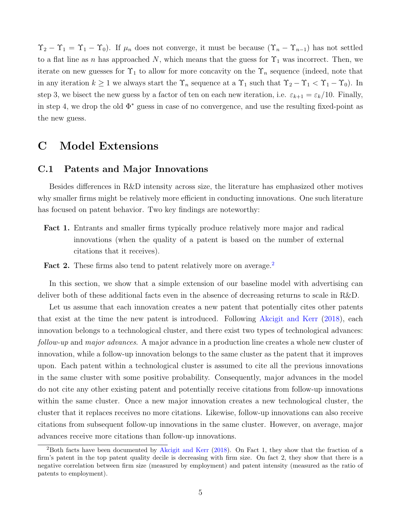$\Upsilon_2 - \Upsilon_1 = \Upsilon_1 - \Upsilon_0$ . If  $\mu_n$  does not converge, it must be because  $(\Upsilon_n - \Upsilon_{n-1})$  has not settled to a flat line as n has approached N, which means that the guess for  $\Upsilon_1$  was incorrect. Then, we iterate on new guesses for  $\Upsilon_1$  to allow for more concavity on the  $\Upsilon_n$  sequence (indeed, note that in any iteration  $k \geq 1$  we always start the  $\Upsilon_n$  sequence at a  $\Upsilon_1$  such that  $\Upsilon_2 - \Upsilon_1 < \Upsilon_1 - \Upsilon_0$ . In step 3, we bisect the new guess by a factor of ten on each new iteration, i.e.  $\varepsilon_{k+1} = \varepsilon_k/10$ . Finally, in step 4, we drop the old  $\Phi^*$  guess in case of no convergence, and use the resulting fixed-point as the new guess.

### <span id="page-4-0"></span>C Model Extensions

### <span id="page-4-1"></span>C.1 Patents and Major Innovations

Besides differences in R&D intensity across size, the literature has emphasized other motives why smaller firms might be relatively more efficient in conducting innovations. One such literature has focused on patent behavior. Two key findings are noteworthy:

- Fact 1. Entrants and smaller firms typically produce relatively more major and radical innovations (when the quality of a patent is based on the number of external citations that it receives).
- Fact [2](#page-0-0). These firms also tend to patent relatively more on average.<sup>2</sup>

In this section, we show that a simple extension of our baseline model with advertising can deliver both of these additional facts even in the absence of decreasing returns to scale in R&D.

Let us assume that each innovation creates a new patent that potentially cites other patents that exist at the time the new patent is introduced. Following [Akcigit and Kerr](#page-13-0) [\(2018\)](#page-13-0), each innovation belongs to a technological cluster, and there exist two types of technological advances: follow-up and major advances. A major advance in a production line creates a whole new cluster of innovation, while a follow-up innovation belongs to the same cluster as the patent that it improves upon. Each patent within a technological cluster is assumed to cite all the previous innovations in the same cluster with some positive probability. Consequently, major advances in the model do not cite any other existing patent and potentially receive citations from follow-up innovations within the same cluster. Once a new major innovation creates a new technological cluster, the cluster that it replaces receives no more citations. Likewise, follow-up innovations can also receive citations from subsequent follow-up innovations in the same cluster. However, on average, major advances receive more citations than follow-up innovations.

<sup>&</sup>lt;sup>2</sup>Both facts have been documented by [Akcigit and Kerr](#page-13-0) [\(2018\)](#page-13-0). On Fact 1, they show that the fraction of a firm's patent in the top patent quality decile is decreasing with firm size. On fact 2, they show that there is a negative correlation between firm size (measured by employment) and patent intensity (measured as the ratio of patents to employment).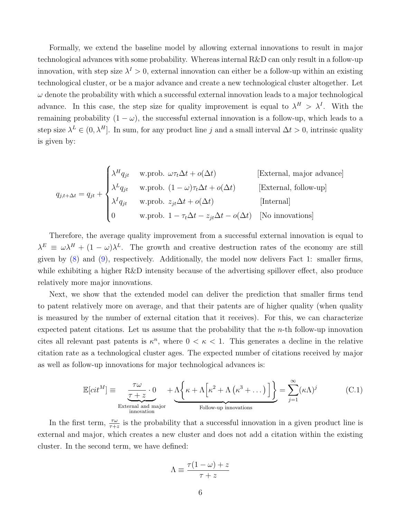Formally, we extend the baseline model by allowing external innovations to result in major technological advances with some probability. Whereas internal R&D can only result in a follow-up innovation, with step size  $\lambda^I > 0$ , external innovation can either be a follow-up within an existing technological cluster, or be a major advance and create a new technological cluster altogether. Let  $\omega$  denote the probability with which a successful external innovation leads to a major technological advance. In this case, the step size for quality improvement is equal to  $\lambda^H > \lambda^I$ . With the remaining probability  $(1 - \omega)$ , the successful external innovation is a follow-up, which leads to a step size  $\lambda^L \in (0, \lambda^H]$ . In sum, for any product line j and a small interval  $\Delta t > 0$ , intrinsic quality is given by:

$$
q_{j,t+\Delta t} = q_{jt} + \begin{cases} \lambda^H q_{jt} & \text{w.prob. } \omega \tau_t \Delta t + o(\Delta t) & \text{[External, major advance]}\\ \lambda^L q_{jt} & \text{w.prob. } (1 - \omega) \tau_t \Delta t + o(\Delta t) & \text{[External, follow-up]}\\ \lambda^I q_{jt} & \text{w.prob. } z_{jt} \Delta t + o(\Delta t) & \text{[Internal]}\\ 0 & \text{w.prob. } 1 - \tau_t \Delta t - z_{jt} \Delta t - o(\Delta t) & \text{[No innovations]} \end{cases}
$$

Therefore, the average quality improvement from a successful external innovation is equal to  $\lambda^E \equiv \omega \lambda^H + (1 - \omega) \lambda^L$ . The growth and creative destruction rates of the economy are still given by [\(8\)](#page-0-0) and [\(9\)](#page-0-0), respectively. Additionally, the model now delivers Fact 1: smaller firms, while exhibiting a higher R&D intensity because of the advertising spillover effect, also produce relatively more major innovations.

Next, we show that the extended model can deliver the prediction that smaller firms tend to patent relatively more on average, and that their patents are of higher quality (when quality is measured by the number of external citation that it receives). For this, we can characterize expected patent citations. Let us assume that the probability that the  $n$ -th follow-up innovation cites all relevant past patents is  $\kappa^n$ , where  $0 < \kappa < 1$ . This generates a decline in the relative citation rate as a technological cluster ages. The expected number of citations received by major as well as follow-up innovations for major technological advances is:

<span id="page-5-0"></span>
$$
\mathbb{E}[cit^M] \equiv \underbrace{\frac{\tau\omega}{\tau+z} \cdot 0}_{\text{External and major}} + \underbrace{\Lambda\left\{\kappa + \Lambda\left[\kappa^2 + \Lambda\left(\kappa^3 + \dots\right)\right]\right\}}_{\text{Follow-up innovations}} = \sum_{j=1}^{\infty} (\kappa\Lambda)^j
$$
(C.1)

In the first term,  $\frac{\tau\omega}{\tau+z}$  is the probability that a successful innovation in a given product line is external and major, which creates a new cluster and does not add a citation within the existing cluster. In the second term, we have defined:

$$
\Lambda \equiv \frac{\tau(1-\omega)+z}{\tau+z}
$$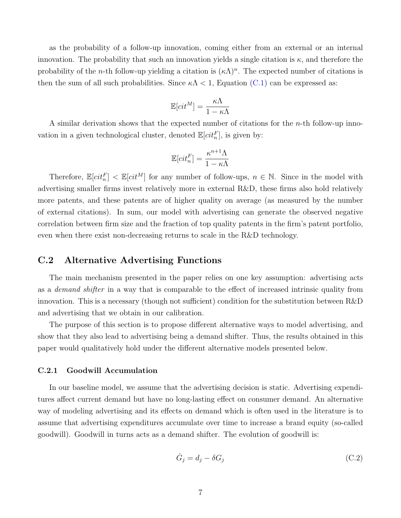as the probability of a follow-up innovation, coming either from an external or an internal innovation. The probability that such an innovation yields a single citation is  $\kappa$ , and therefore the probability of the *n*-th follow-up yielding a citation is  $(\kappa \Lambda)^n$ . The expected number of citations is then the sum of all such probabilities. Since  $\kappa \Lambda < 1$ , Equation [\(C.1\)](#page-5-0) can be expressed as:

$$
\mathbb{E}[cit^M] = \frac{\kappa \Lambda}{1 - \kappa \Lambda}
$$

A similar derivation shows that the expected number of citations for the  $n$ -th follow-up innovation in a given technological cluster, denoted  $\mathbb{E}[cit_n^F]$ , is given by:

$$
\mathbb{E}[cit_n^F] = \frac{\kappa^{n+1}\Lambda}{1 - \kappa\Lambda}
$$

Therefore,  $\mathbb{E}[cit_n^F] < \mathbb{E}[cit^M]$  for any number of follow-ups,  $n \in \mathbb{N}$ . Since in the model with advertising smaller firms invest relatively more in external R&D, these firms also hold relatively more patents, and these patents are of higher quality on average (as measured by the number of external citations). In sum, our model with advertising can generate the observed negative correlation between firm size and the fraction of top quality patents in the firm's patent portfolio, even when there exist non-decreasing returns to scale in the R&D technology.

### <span id="page-6-0"></span>C.2 Alternative Advertising Functions

The main mechanism presented in the paper relies on one key assumption: advertising acts as a demand shifter in a way that is comparable to the effect of increased intrinsic quality from innovation. This is a necessary (though not sufficient) condition for the substitution between R&D and advertising that we obtain in our calibration.

The purpose of this section is to propose different alternative ways to model advertising, and show that they also lead to advertising being a demand shifter. Thus, the results obtained in this paper would qualitatively hold under the different alternative models presented below.

#### <span id="page-6-1"></span>C.2.1 Goodwill Accumulation

In our baseline model, we assume that the advertising decision is static. Advertising expenditures affect current demand but have no long-lasting effect on consumer demand. An alternative way of modeling advertising and its effects on demand which is often used in the literature is to assume that advertising expenditures accumulate over time to increase a brand equity (so-called goodwill). Goodwill in turns acts as a demand shifter. The evolution of goodwill is:

$$
\dot{G}_j = d_j - \delta G_j \tag{C.2}
$$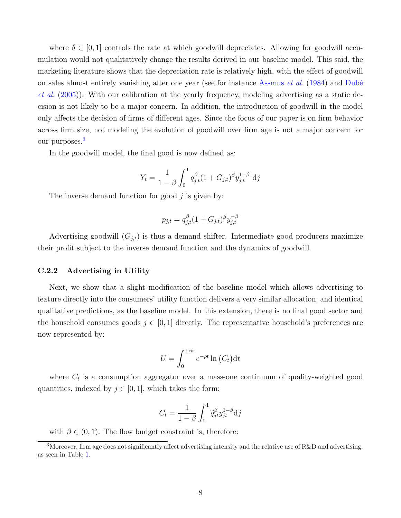where  $\delta \in [0,1]$  controls the rate at which goodwill depreciates. Allowing for goodwill accumulation would not qualitatively change the results derived in our baseline model. This said, the marketing literature shows that the depreciation rate is relatively high, with the effect of goodwill on sales almost entirely vanishing after one year (see for instance [Assmus](#page-13-1) *et al.*  $(1984)$  and Dubé [et al.](#page-13-2) [\(2005\)](#page-13-2)). With our calibration at the yearly frequency, modeling advertising as a static decision is not likely to be a major concern. In addition, the introduction of goodwill in the model only affects the decision of firms of different ages. Since the focus of our paper is on firm behavior across firm size, not modeling the evolution of goodwill over firm age is not a major concern for our purposes.<sup>[3](#page-0-0)</sup>

In the goodwill model, the final good is now defined as:

$$
Y_t = \frac{1}{1-\beta} \int_0^1 q_{j,t}^{\beta} (1 + G_{j,t})^{\beta} y_{j,t}^{1-\beta} \, \mathrm{d}j
$$

The inverse demand function for good  $j$  is given by:

$$
p_{j,t} = q_{j,t}^{\beta} (1 + G_{j,t})^{\beta} y_{j,t}^{-\beta}
$$

Advertising goodwill  $(G_{j,t})$  is thus a demand shifter. Intermediate good producers maximize their profit subject to the inverse demand function and the dynamics of goodwill.

#### <span id="page-7-0"></span>C.2.2 Advertising in Utility

Next, we show that a slight modification of the baseline model which allows advertising to feature directly into the consumers' utility function delivers a very similar allocation, and identical qualitative predictions, as the baseline model. In this extension, there is no final good sector and the household consumes goods  $j \in [0, 1]$  directly. The representative household's preferences are now represented by:

$$
U = \int_0^{+\infty} e^{-\rho t} \ln\left(C_t\right) dt
$$

where  $C_t$  is a consumption aggregator over a mass-one continuum of quality-weighted good quantities, indexed by  $j \in [0, 1]$ , which takes the form:

$$
C_t = \frac{1}{1-\beta} \int_0^1 \widetilde{q}_{jt}^{\beta} y_{jt}^{1-\beta} \mathrm{d}j
$$

with  $\beta \in (0, 1)$ . The flow budget constraint is, therefore:

<sup>&</sup>lt;sup>3</sup>Moreover, firm age does not significantly affect advertising intensity and the relative use of  $R\&D$  and advertising, as seen in Table [1.](#page-0-0)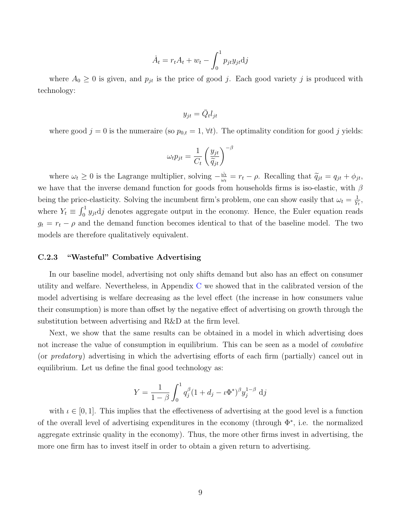$$
\dot{A}_t = r_t A_t + w_t - \int_0^1 p_{jt} y_{jt} \mathrm{d}j
$$

where  $A_0 \geq 0$  is given, and  $p_{jt}$  is the price of good j. Each good variety j is produced with technology:

$$
y_{jt} = \bar{Q}_t l_{jt}
$$

where good  $j = 0$  is the numeraire (so  $p_{0,t} = 1, \forall t$ ). The optimality condition for good j yields:

$$
\omega_t p_{jt} = \frac{1}{C_t} \left(\frac{y_{jt}}{\widetilde{q}_{jt}}\right)^{-\beta}
$$

where  $\omega_t \geq 0$  is the Lagrange multiplier, solving  $-\frac{\dot{\omega}_t}{\omega_t}$  $\frac{\omega_t}{\omega_t} = r_t - \rho.$  Recalling that  $\widetilde{q}_{jt} = q_{jt} + \phi_{jt},$ we have that the inverse demand function for goods from households firms is iso-elastic, with  $\beta$ being the price-elasticity. Solving the incumbent firm's problem, one can show easily that  $\omega_t = \frac{1}{V}$  $\frac{1}{Y_t}$ where  $Y_t \equiv \int_0^1 y_{jt} \mathrm{d}j$  denotes aggregate output in the economy. Hence, the Euler equation reads  $g_t = r_t - \rho$  and the demand function becomes identical to that of the baseline model. The two models are therefore qualitatively equivalent.

#### <span id="page-8-0"></span>C.2.3 "Wasteful" Combative Advertising

In our baseline model, advertising not only shifts demand but also has an effect on consumer utility and welfare. Nevertheless, in Appendix [C](#page-0-0) we showed that in the calibrated version of the model advertising is welfare decreasing as the level effect (the increase in how consumers value their consumption) is more than offset by the negative effect of advertising on growth through the substitution between advertising and R&D at the firm level.

Next, we show that the same results can be obtained in a model in which advertising does not increase the value of consumption in equilibrium. This can be seen as a model of combative (or predatory) advertising in which the advertising efforts of each firm (partially) cancel out in equilibrium. Let us define the final good technology as:

$$
Y = \frac{1}{1 - \beta} \int_0^1 q_j^{\beta} (1 + d_j - \iota \Phi^*)^{\beta} y_j^{1 - \beta} \, \mathrm{d}j
$$

with  $\iota \in [0, 1]$ . This implies that the effectiveness of advertising at the good level is a function of the overall level of advertising expenditures in the economy (through  $\Phi^*$ , i.e. the normalized aggregate extrinsic quality in the economy). Thus, the more other firms invest in advertising, the more one firm has to invest itself in order to obtain a given return to advertising.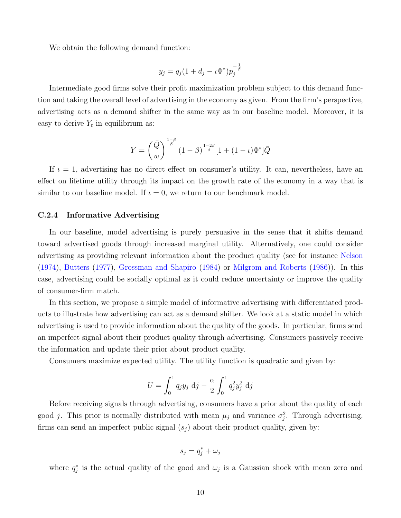We obtain the following demand function:

$$
y_j = q_j(1 + d_j - \iota \Phi^*) p_j^{-\frac{1}{\beta}}
$$

Intermediate good firms solve their profit maximization problem subject to this demand function and taking the overall level of advertising in the economy as given. From the firm's perspective, advertising acts as a demand shifter in the same way as in our baseline model. Moreover, it is easy to derive  $Y_t$  in equilibrium as:

$$
Y = \left(\frac{\bar{Q}}{w}\right)^{\frac{1-\beta}{\beta}} (1-\beta)^{\frac{1-2\beta}{\beta}} [1 + (1-\iota)\Phi^*]\bar{Q}
$$

If  $\iota = 1$ , advertising has no direct effect on consumer's utility. It can, nevertheless, have an effect on lifetime utility through its impact on the growth rate of the economy in a way that is similar to our baseline model. If  $\iota = 0$ , we return to our benchmark model.

#### <span id="page-9-0"></span>C.2.4 Informative Advertising

In our baseline, model advertising is purely persuasive in the sense that it shifts demand toward advertised goods through increased marginal utility. Alternatively, one could consider advertising as providing relevant information about the product quality (see for instance [Nelson](#page-13-3) [\(1974\)](#page-13-3), [Butters](#page-13-4) [\(1977\)](#page-13-4), [Grossman and Shapiro](#page-13-5) [\(1984\)](#page-13-5) or [Milgrom and Roberts](#page-13-6) [\(1986\)](#page-13-6)). In this case, advertising could be socially optimal as it could reduce uncertainty or improve the quality of consumer-firm match.

In this section, we propose a simple model of informative advertising with differentiated products to illustrate how advertising can act as a demand shifter. We look at a static model in which advertising is used to provide information about the quality of the goods. In particular, firms send an imperfect signal about their product quality through advertising. Consumers passively receive the information and update their prior about product quality.

Consumers maximize expected utility. The utility function is quadratic and given by:

$$
U = \int_0^1 q_j y_j \, \mathrm{d}j - \frac{\alpha}{2} \int_0^1 q_j^2 y_j^2 \, \mathrm{d}j
$$

Before receiving signals through advertising, consumers have a prior about the quality of each good j. This prior is normally distributed with mean  $\mu_j$  and variance  $\sigma_j^2$ . Through advertising, firms can send an imperfect public signal  $(s_i)$  about their product quality, given by:

$$
s_j = q_j^* + \omega_j
$$

where  $q_j^*$  is the actual quality of the good and  $\omega_j$  is a Gaussian shock with mean zero and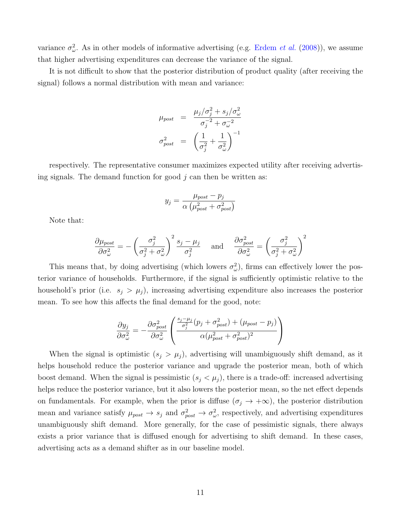variance  $\sigma_{\omega}^2$ . As in other models of informative advertising (e.g. [Erdem](#page-13-7) *et al.* [\(2008\)](#page-13-7)), we assume that higher advertising expenditures can decrease the variance of the signal.

It is not difficult to show that the posterior distribution of product quality (after receiving the signal) follows a normal distribution with mean and variance:

$$
\mu_{post} = \frac{\mu_j/\sigma_j^2 + s_j/\sigma_{\omega}^2}{\sigma_j^{-2} + \sigma_{\omega}^{-2}}
$$

$$
\sigma_{post}^2 = \left(\frac{1}{\sigma_j^2} + \frac{1}{\sigma_{\omega}^2}\right)^{-1}
$$

respectively. The representative consumer maximizes expected utility after receiving advertising signals. The demand function for good  $j$  can then be written as:

$$
y_j = \frac{\mu_{post} - p_j}{\alpha \left(\mu_{post}^2 + \sigma_{post}^2\right)}
$$

Note that:

$$
\frac{\partial \mu_{post}}{\partial \sigma_{\omega}^2} = -\left(\frac{\sigma_j^2}{\sigma_j^2 + \sigma_{\omega}^2}\right)^2 \frac{s_j - \mu_j}{\sigma_j^2} \quad \text{ and } \quad \frac{\partial \sigma_{post}^2}{\partial \sigma_{\omega}^2} = \left(\frac{\sigma_j^2}{\sigma_j^2 + \sigma_{\omega}^2}\right)^2
$$

This means that, by doing advertising (which lowers  $\sigma_{\omega}^2$ ), firms can effectively lower the posterior variance of households. Furthermore, if the signal is sufficiently optimistic relative to the household's prior (i.e.  $s_j > \mu_j$ ), increasing advertising expenditure also increases the posterior mean. To see how this affects the final demand for the good, note:

$$
\frac{\partial y_j}{\partial \sigma_{\omega}^2} = -\frac{\partial \sigma_{post}^2}{\partial \sigma_{\omega}^2} \left( \frac{\frac{s_j - \mu_j}{\sigma_j^2} (p_j + \sigma_{post}^2) + (\mu_{post} - p_j)}{\alpha (\mu_{post}^2 + \sigma_{post}^2)^2} \right)
$$

When the signal is optimistic  $(s_j > \mu_j)$ , advertising will unambiguously shift demand, as it helps household reduce the posterior variance and upgrade the posterior mean, both of which boost demand. When the signal is pessimistic  $(s_i < \mu_i)$ , there is a trade-off: increased advertising helps reduce the posterior variance, but it also lowers the posterior mean, so the net effect depends on fundamentals. For example, when the prior is diffuse  $(\sigma_j \to +\infty)$ , the posterior distribution mean and variance satisfy  $\mu_{post} \to s_j$  and  $\sigma_{post}^2 \to \sigma_{\omega}^2$ , respectively, and advertising expenditures unambiguously shift demand. More generally, for the case of pessimistic signals, there always exists a prior variance that is diffused enough for advertising to shift demand. In these cases, advertising acts as a demand shifter as in our baseline model.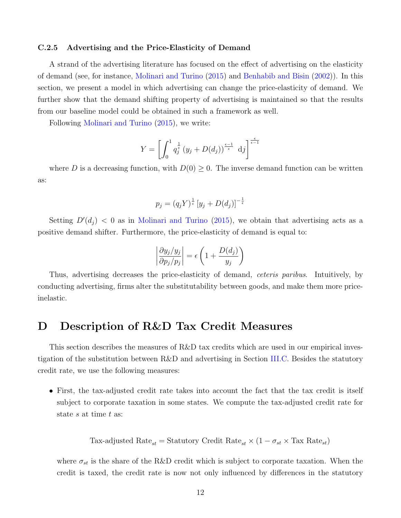#### <span id="page-11-0"></span>C.2.5 Advertising and the Price-Elasticity of Demand

A strand of the advertising literature has focused on the effect of advertising on the elasticity of demand (see, for instance, [Molinari and Turino](#page-13-8) [\(2015\)](#page-13-8) and [Benhabib and Bisin](#page-13-9) [\(2002\)](#page-13-9)). In this section, we present a model in which advertising can change the price-elasticity of demand. We further show that the demand shifting property of advertising is maintained so that the results from our baseline model could be obtained in such a framework as well.

Following [Molinari and Turino](#page-13-8) [\(2015\)](#page-13-8), we write:

$$
Y = \left[ \int_0^1 q_j^{\frac{1}{\epsilon}} (y_j + D(d_j))^{\frac{\epsilon - 1}{\epsilon}} d_j \right]^{\frac{\epsilon}{\epsilon - 1}}
$$

where D is a decreasing function, with  $D(0) \geq 0$ . The inverse demand function can be written as:

$$
p_j = (q_j Y)^{\frac{1}{\epsilon}} \left[ y_j + D(d_j) \right]^{-\frac{1}{\epsilon}}
$$

Setting  $D'(d_j) < 0$  as in [Molinari and Turino](#page-13-8) [\(2015\)](#page-13-8), we obtain that advertising acts as a positive demand shifter. Furthermore, the price-elasticity of demand is equal to:

$$
\left|\frac{\partial y_j/y_j}{\partial p_j/p_j}\right| = \epsilon \left(1 + \frac{D(d_j)}{y_j}\right)
$$

Thus, advertising decreases the price-elasticity of demand, ceteris paribus. Intuitively, by conducting advertising, firms alter the substitutability between goods, and make them more priceinelastic.

### <span id="page-11-1"></span>D Description of R&D Tax Credit Measures

This section describes the measures of R&D tax credits which are used in our empirical investigation of the substitution between R&D and advertising in Section [III.C.](#page-0-0) Besides the statutory credit rate, we use the following measures:

• First, the tax-adjusted credit rate takes into account the fact that the tax credit is itself subject to corporate taxation in some states. We compute the tax-adjusted credit rate for state s at time t as:

Tax-adjusted Rate<sub>st</sub> = Statutory Credit Rate<sub>st</sub> × 
$$
(1 - \sigma_{st} \times \text{Tax Rate}_{st})
$$

where  $\sigma_{st}$  is the share of the R&D credit which is subject to corporate taxation. When the credit is taxed, the credit rate is now not only influenced by differences in the statutory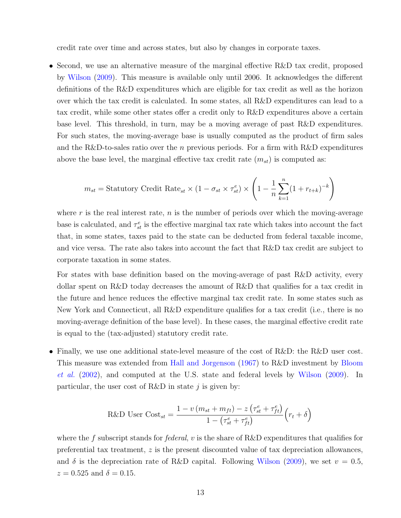credit rate over time and across states, but also by changes in corporate taxes.

• Second, we use an alternative measure of the marginal effective R&D tax credit, proposed by [Wilson](#page-13-10) [\(2009\)](#page-13-10). This measure is available only until 2006. It acknowledges the different definitions of the R&D expenditures which are eligible for tax credit as well as the horizon over which the tax credit is calculated. In some states, all R&D expenditures can lead to a tax credit, while some other states offer a credit only to R&D expenditures above a certain base level. This threshold, in turn, may be a moving average of past R&D expenditures. For such states, the moving-average base is usually computed as the product of firm sales and the R&D-to-sales ratio over the n previous periods. For a firm with R&D expenditures above the base level, the marginal effective tax credit rate  $(m_{st})$  is computed as:

$$
m_{st} = \text{Statutory Credit Rate}_{st} \times (1 - \sigma_{st} \times \tau_{st}^e) \times \left(1 - \frac{1}{n} \sum_{k=1}^n (1 + r_{t+k})^{-k}\right)
$$

where r is the real interest rate,  $n$  is the number of periods over which the moving-average base is calculated, and  $\tau_{st}^e$  is the effective marginal tax rate which takes into account the fact that, in some states, taxes paid to the state can be deducted from federal taxable income, and vice versa. The rate also takes into account the fact that R&D tax credit are subject to corporate taxation in some states.

For states with base definition based on the moving-average of past R&D activity, every dollar spent on R&D today decreases the amount of R&D that qualifies for a tax credit in the future and hence reduces the effective marginal tax credit rate. In some states such as New York and Connecticut, all R&D expenditure qualifies for a tax credit (i.e., there is no moving-average definition of the base level). In these cases, the marginal effective credit rate is equal to the (tax-adjusted) statutory credit rate.

• Finally, we use one additional state-level measure of the cost of R&D: the R&D user cost. This measure was extended from [Hall and Jorgenson](#page-13-11) [\(1967\)](#page-13-11) to R&D investment by [Bloom](#page-13-12) [et al.](#page-13-12) [\(2002\)](#page-13-12), and computed at the U.S. state and federal levels by [Wilson](#page-13-10) [\(2009\)](#page-13-10). In particular, the user cost of R&D in state  $j$  is given by:

$$
\text{R&D User Cost}_{st} = \frac{1 - v \left( m_{st} + m_{ft} \right) - z \left( \tau_{st}^e + \tau_{ft}^e \right)}{1 - \left( \tau_{st}^e + \tau_{ft}^e \right)} \left( r_t + \delta \right)
$$

where the f subscript stands for *federal*, v is the share of R&D expenditures that qualifies for preferential tax treatment, z is the present discounted value of tax depreciation allowances, and  $\delta$  is the depreciation rate of R&D capital. Following [Wilson](#page-13-10) [\(2009\)](#page-13-10), we set  $v = 0.5$ ,  $z = 0.525$  and  $\delta = 0.15$ .